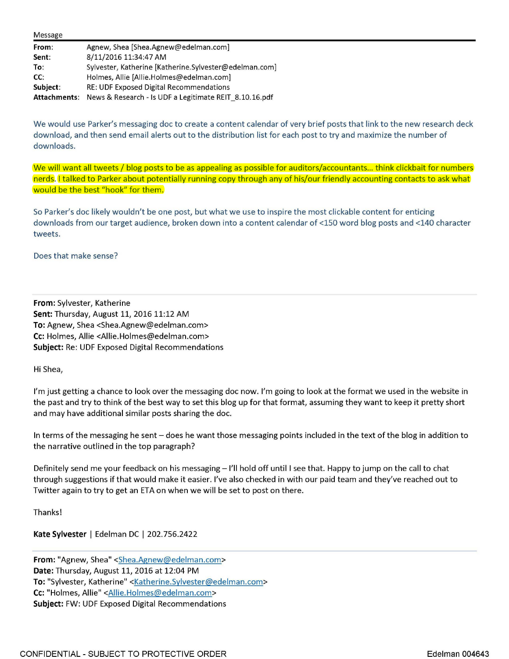| Message      |                                                        |
|--------------|--------------------------------------------------------|
| From:        | Agnew, Shea [Shea.Agnew@edelman.com]                   |
| Sent:        | 8/11/2016 11:34:47 AM                                  |
| To:          | Sylvester, Katherine [Katherine.Sylvester@edelman.com] |
| CC:          | Holmes, Allie [Allie.Holmes@edelman.com]               |
| Subject:     | RE: UDF Exposed Digital Recommendations                |
| Attachments: | News & Research - Is UDF a Legitimate REIT_8.10.16.pdf |

We would use Parker's messaging doc to create a content calendar of very brief posts that link to the new research deck download, and then send email alerts out to the distribution list for each post to try and maximize the number of downloads.

We will want all tweets / blog posts to be as appealing as possible for auditors/accountants... think clickbait for numbers nerds. I talked to Parker about potentially running copy through any of his/our friendly accounting contacts to ask what would be the best "hook" for them.

So Parker's doc likely wouldn't be one post, but what we use to inspire the most clickable content for enticing downloads from our target audience, broken down into a content calendar of <150 word blog posts and <140 character tweets.

## Does that make sense?

**From:** Sylvester, Katherine **Sent:** Thursday, August 11, 2016 11:12 AM **To:** Agnew, Shea <Shea.Agnew@edelman.com> **Cc:** Holmes, Allie <Allie.Holmes@edelman.com> **Subject:** Re: UDF Exposed Digital Recommendations

Hi Shea,

I'm just getting a chance to look over the messaging doc now. I'm going to look at the format we used in the website in the past and try to think of the best way to set this blog up for that format, assuming they want to keep it pretty short and may have additional similar posts sharing the doc.

In terms of the messaging he sent - does he want those messaging points included in the text of the blog in addition to the narrative outlined in the top paragraph?

Definitely send me your feedback on his messaging - I'll hold off until I see that. Happy to jump on the call to chat through suggestions if that would make it easier. I've also checked in with our paid team and they've reached out to Twitter again to try to get an ETA on when we will be set to post on there.

Thanks!

**Kate Sylvester** | Edelman DC | 202.756.2422

**From:** "Agnew, Shea" <Shea.Agnew@edelman.com> **Date:** Thursday, August 11, 2016 at 12:04 PM To: "Sylvester, Katherine" <Katherine.Sylvester@edelman.com> **Cc:** "Holmes, Allie" <Allie.Holmes@edelman.com> **Subject:** FW: UDF Exposed Digital Recommendations